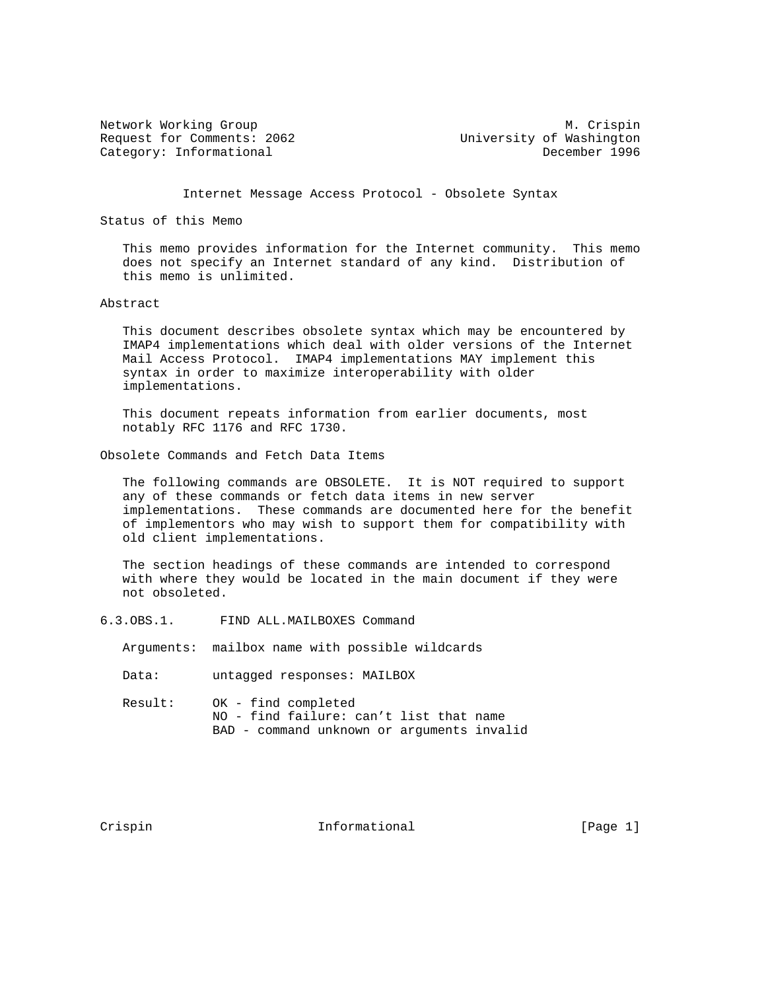Request for Comments: 2062 University of Washington Category: Informational

Network Working Group Metwork Muslim Crispin

Internet Message Access Protocol - Obsolete Syntax

Status of this Memo

 This memo provides information for the Internet community. This memo does not specify an Internet standard of any kind. Distribution of this memo is unlimited.

## Abstract

 This document describes obsolete syntax which may be encountered by IMAP4 implementations which deal with older versions of the Internet Mail Access Protocol. IMAP4 implementations MAY implement this syntax in order to maximize interoperability with older implementations.

 This document repeats information from earlier documents, most notably RFC 1176 and RFC 1730.

Obsolete Commands and Fetch Data Items

 The following commands are OBSOLETE. It is NOT required to support any of these commands or fetch data items in new server implementations. These commands are documented here for the benefit of implementors who may wish to support them for compatibility with old client implementations.

 The section headings of these commands are intended to correspond with where they would be located in the main document if they were not obsoleted.

6.3.OBS.1. FIND ALL.MAILBOXES Command

Arguments: mailbox name with possible wildcards

Data: untagged responses: MAILBOX

 Result: OK - find completed NO - find failure: can't list that name BAD - command unknown or arguments invalid

Crispin 1nformational [Page 1]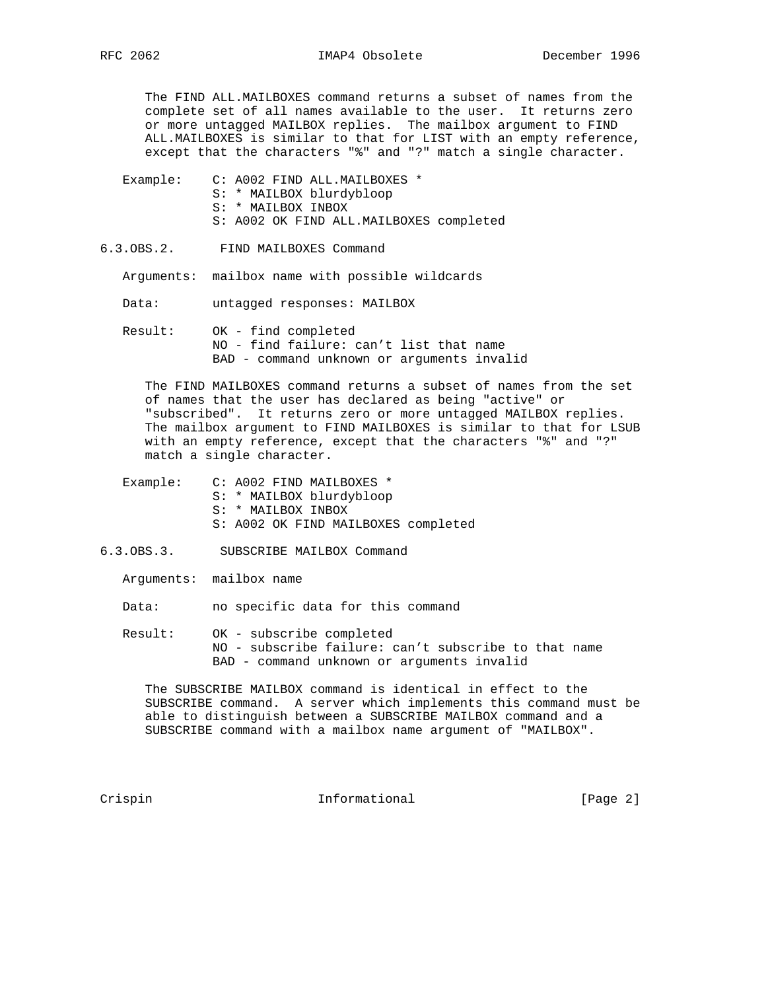The FIND ALL.MAILBOXES command returns a subset of names from the complete set of all names available to the user. It returns zero or more untagged MAILBOX replies. The mailbox argument to FIND ALL.MAILBOXES is similar to that for LIST with an empty reference, except that the characters "%" and "?" match a single character.

- Example: C: A002 FIND ALL.MAILBOXES \* S: \* MAILBOX blurdybloop S: \* MAILBOX INBOX S: A002 OK FIND ALL.MAILBOXES completed
- 6.3.OBS.2. FIND MAILBOXES Command

Arguments: mailbox name with possible wildcards

- Data: untagged responses: MAILBOX
- Result: OK find completed NO - find failure: can't list that name BAD - command unknown or arguments invalid

 The FIND MAILBOXES command returns a subset of names from the set of names that the user has declared as being "active" or "subscribed". It returns zero or more untagged MAILBOX replies. The mailbox argument to FIND MAILBOXES is similar to that for LSUB with an empty reference, except that the characters "%" and "?" match a single character.

- Example: C: A002 FIND MAILBOXES \* S: \* MAILBOX blurdybloop S: \* MAILBOX INBOX S: A002 OK FIND MAILBOXES completed
- 6.3.OBS.3. SUBSCRIBE MAILBOX Command
	- Arguments: mailbox name

Data: no specific data for this command

 Result: OK - subscribe completed NO - subscribe failure: can't subscribe to that name BAD - command unknown or arguments invalid

 The SUBSCRIBE MAILBOX command is identical in effect to the SUBSCRIBE command. A server which implements this command must be able to distinguish between a SUBSCRIBE MAILBOX command and a SUBSCRIBE command with a mailbox name argument of "MAILBOX".

Crispin 1nformational [Page 2]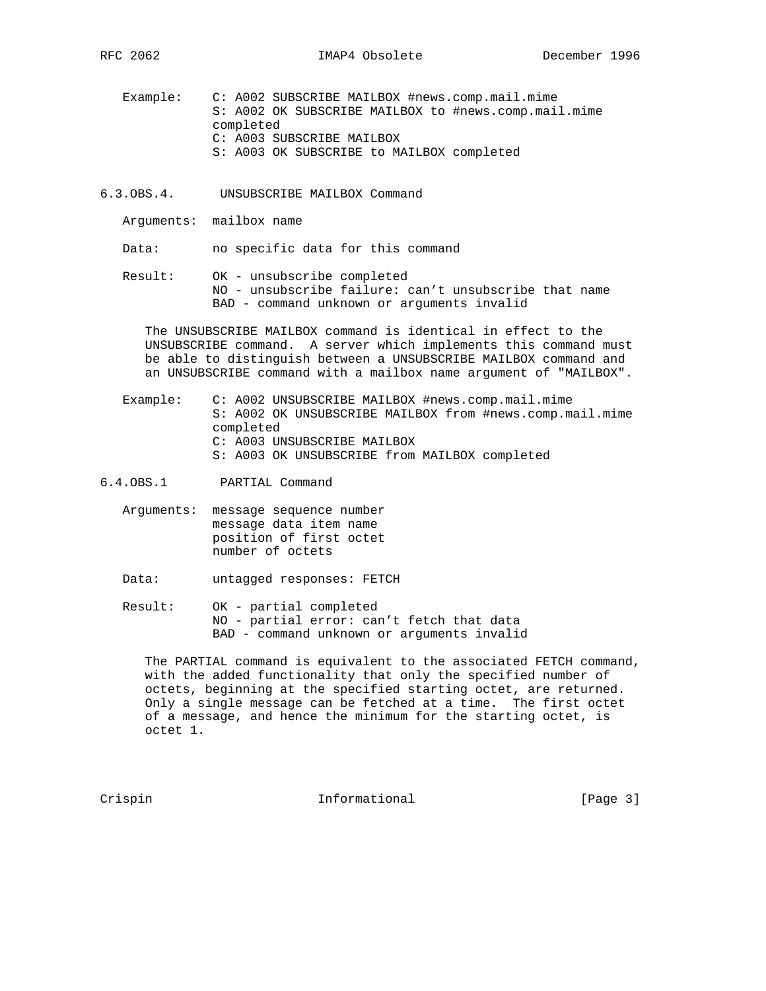Example: C: A002 SUBSCRIBE MAILBOX #news.comp.mail.mime S: A002 OK SUBSCRIBE MAILBOX to #news.comp.mail.mime completed C: A003 SUBSCRIBE MAILBOX S: A003 OK SUBSCRIBE to MAILBOX completed

- 6.3.OBS.4. UNSUBSCRIBE MAILBOX Command
	- Arguments: mailbox name

Data: no specific data for this command

 Result: OK - unsubscribe completed NO - unsubscribe failure: can't unsubscribe that name BAD - command unknown or arguments invalid

 The UNSUBSCRIBE MAILBOX command is identical in effect to the UNSUBSCRIBE command. A server which implements this command must be able to distinguish between a UNSUBSCRIBE MAILBOX command and an UNSUBSCRIBE command with a mailbox name argument of "MAILBOX".

 Example: C: A002 UNSUBSCRIBE MAILBOX #news.comp.mail.mime S: A002 OK UNSUBSCRIBE MAILBOX from #news.comp.mail.mime completed C: A003 UNSUBSCRIBE MAILBOX S: A003 OK UNSUBSCRIBE from MAILBOX completed

- 6.4.OBS.1 PARTIAL Command
	- Arguments: message sequence number message data item name position of first octet number of octets
	- Data: untagged responses: FETCH
	- Result: OK partial completed NO - partial error: can't fetch that data BAD - command unknown or arguments invalid

 The PARTIAL command is equivalent to the associated FETCH command, with the added functionality that only the specified number of octets, beginning at the specified starting octet, are returned. Only a single message can be fetched at a time. The first octet of a message, and hence the minimum for the starting octet, is octet 1.

Crispin 1nformational [Page 3]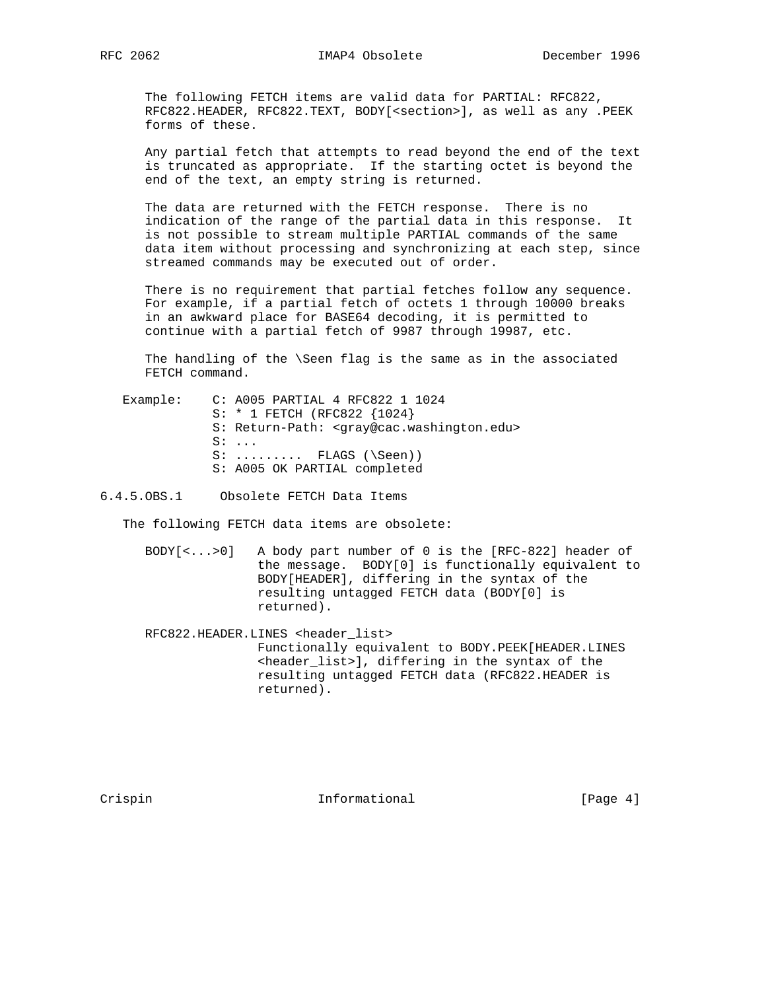The following FETCH items are valid data for PARTIAL: RFC822, RFC822.HEADER, RFC822.TEXT, BODY[<section>], as well as any .PEEK forms of these.

 Any partial fetch that attempts to read beyond the end of the text is truncated as appropriate. If the starting octet is beyond the end of the text, an empty string is returned.

 The data are returned with the FETCH response. There is no indication of the range of the partial data in this response. It is not possible to stream multiple PARTIAL commands of the same data item without processing and synchronizing at each step, since streamed commands may be executed out of order.

 There is no requirement that partial fetches follow any sequence. For example, if a partial fetch of octets 1 through 10000 breaks in an awkward place for BASE64 decoding, it is permitted to continue with a partial fetch of 9987 through 19987, etc.

The handling of the \Seen flag is the same as in the associated FETCH command.

 Example: C: A005 PARTIAL 4 RFC822 1 1024 S: \* 1 FETCH (RFC822 {1024} S: Return-Path: <gray@cac.washington.edu> S: ...  $S:$  ......... FLAGS (\Seen)) S: A005 OK PARTIAL completed

6.4.5.OBS.1 Obsolete FETCH Data Items

The following FETCH data items are obsolete:

 BODY[<...>0] A body part number of 0 is the [RFC-822] header of the message. BODY[0] is functionally equivalent to BODY[HEADER], differing in the syntax of the resulting untagged FETCH data (BODY[0] is returned).

 RFC822.HEADER.LINES <header\_list> Functionally equivalent to BODY.PEEK[HEADER.LINES <header\_list>], differing in the syntax of the resulting untagged FETCH data (RFC822.HEADER is returned).

Crispin 1nformational [Page 4]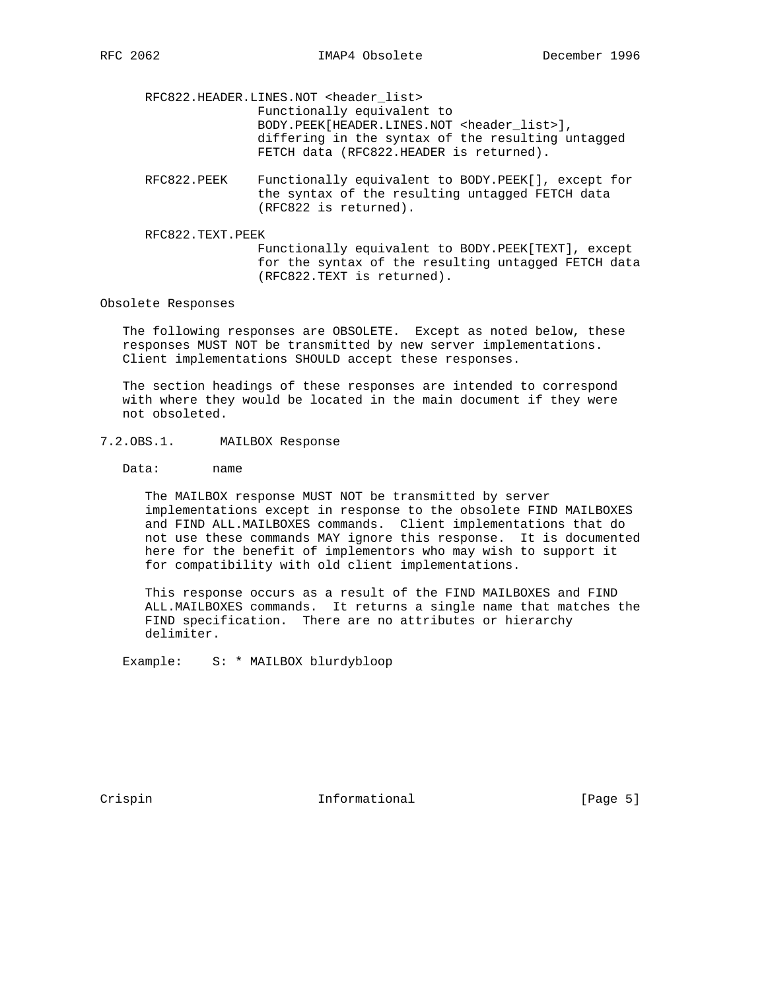RFC822.HEADER.LINES.NOT <header\_list> Functionally equivalent to BODY.PEEK[HEADER.LINES.NOT <header\_list>], differing in the syntax of the resulting untagged FETCH data (RFC822.HEADER is returned).

 RFC822.PEEK Functionally equivalent to BODY.PEEK[], except for the syntax of the resulting untagged FETCH data (RFC822 is returned).

RFC822.TEXT.PEEK

 Functionally equivalent to BODY.PEEK[TEXT], except for the syntax of the resulting untagged FETCH data (RFC822.TEXT is returned).

Obsolete Responses

 The following responses are OBSOLETE. Except as noted below, these responses MUST NOT be transmitted by new server implementations. Client implementations SHOULD accept these responses.

 The section headings of these responses are intended to correspond with where they would be located in the main document if they were not obsoleted.

7.2.OBS.1. MAILBOX Response

Data: name

 The MAILBOX response MUST NOT be transmitted by server implementations except in response to the obsolete FIND MAILBOXES and FIND ALL.MAILBOXES commands. Client implementations that do not use these commands MAY ignore this response. It is documented here for the benefit of implementors who may wish to support it for compatibility with old client implementations.

 This response occurs as a result of the FIND MAILBOXES and FIND ALL.MAILBOXES commands. It returns a single name that matches the FIND specification. There are no attributes or hierarchy delimiter.

Example: S: \* MAILBOX blurdybloop

Crispin 1nformational [Page 5]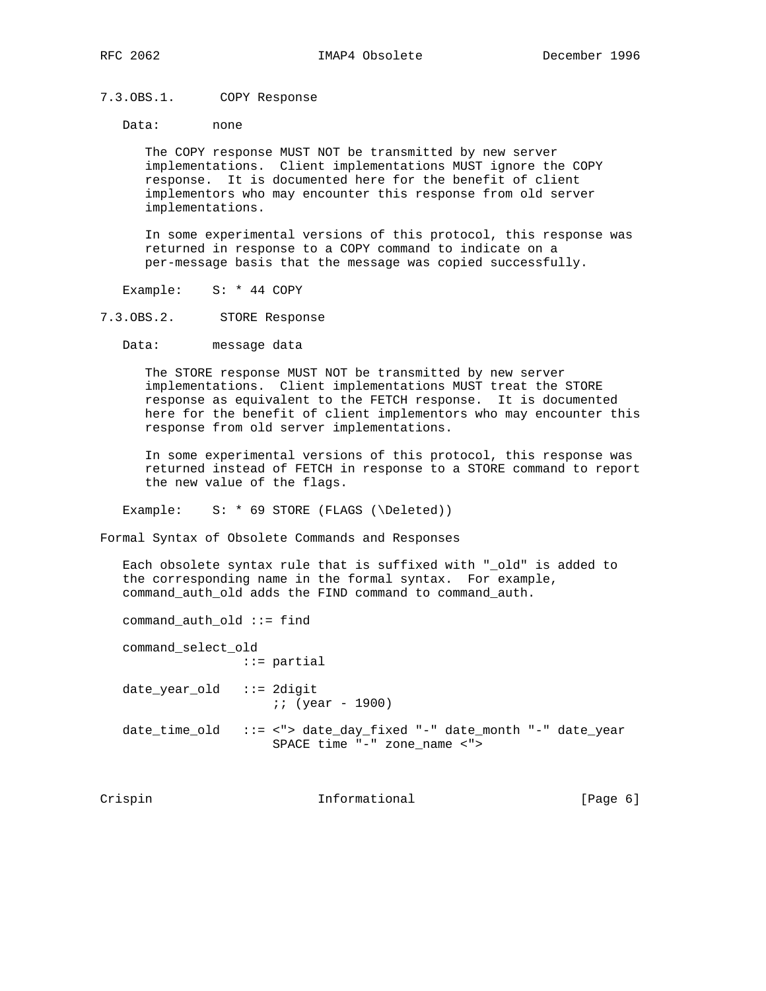## 7.3.OBS.1. COPY Response

Data: none

 The COPY response MUST NOT be transmitted by new server implementations. Client implementations MUST ignore the COPY response. It is documented here for the benefit of client implementors who may encounter this response from old server implementations.

 In some experimental versions of this protocol, this response was returned in response to a COPY command to indicate on a per-message basis that the message was copied successfully.

Example: S: \* 44 COPY

7.3.OBS.2. STORE Response

Data: message data

 The STORE response MUST NOT be transmitted by new server implementations. Client implementations MUST treat the STORE response as equivalent to the FETCH response. It is documented here for the benefit of client implementors who may encounter this response from old server implementations.

 In some experimental versions of this protocol, this response was returned instead of FETCH in response to a STORE command to report the new value of the flags.

Example: S: \* 69 STORE (FLAGS (\Deleted))

Formal Syntax of Obsolete Commands and Responses

::= partial

 Each obsolete syntax rule that is suffixed with "\_old" is added to the corresponding name in the formal syntax. For example, command\_auth\_old adds the FIND command to command\_auth.

command\_auth\_old ::= find

command\_select\_old

 date\_year\_old ::= 2digit ;; (year - 1900)

 date\_time\_old ::= <"> date\_day\_fixed "-" date\_month "-" date\_year SPACE time "-" zone\_name <">

Crispin 1nformational [Page 6]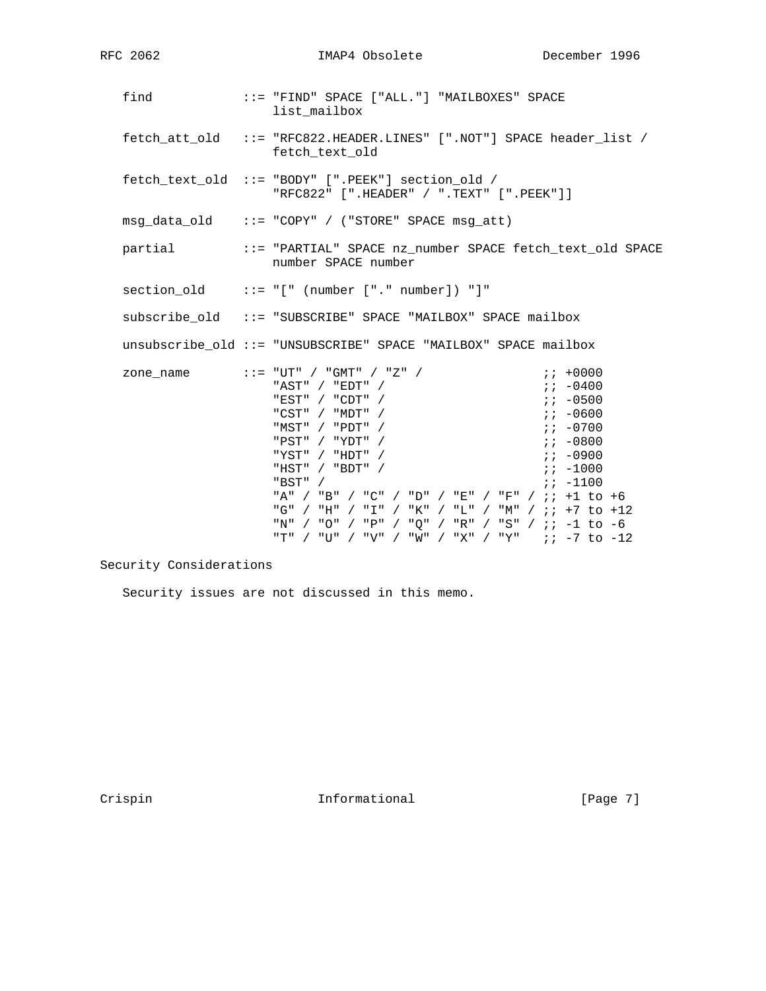find ::= "FIND" SPACE ["ALL."] "MAILBOXES" SPACE list\_mailbox fetch\_att\_old ::= "RFC822.HEADER.LINES" [".NOT"] SPACE header\_list / fetch\_text\_old fetch\_text\_old ::= "BODY" [".PEEK"] section\_old / "RFC822" [".HEADER" / ".TEXT" [".PEEK"]] msg\_data\_old ::= "COPY" / ("STORE" SPACE msg\_att) partial ::= "PARTIAL" SPACE nz\_number SPACE fetch\_text\_old SPACE number SPACE number section\_old ::= "[" (number ["." number]) "]" subscribe\_old ::= "SUBSCRIBE" SPACE "MAILBOX" SPACE mailbox unsubscribe\_old ::= "UNSUBSCRIBE" SPACE "MAILBOX" SPACE mailbox zone\_name  $: := "UT" / "GMT" / "Z" /$   $: :$ "AST" / "EDT" /  $\qquad \qquad ; \; -0400$ "EST" / "CDT" /  $\qquad \qquad ; \qquad -0500$  "CST" / "MDT" / ;; -0600 " $MST" / "PDT" /$  "PST" / "YDT" / ;; -0800 "YST" / "HDT" / ;; -0900 "HST" / "BDT" / ;; -1000  $; j -1100$  "A" / "B" / "C" / "D" / "E" / "F" / ;; +1 to +6 "G" / "H" / "I" / "K" / "L" / "M" / ;; +7 to +12 "N" / "O" / "P" / "Q" / "R" / "S" / ;; -1 to -6

"T" / "U" / "V" / "W" / "X" / "Y" ;; -7 to -12

Security Considerations

Security issues are not discussed in this memo.

Crispin 1nformational [Page 7]